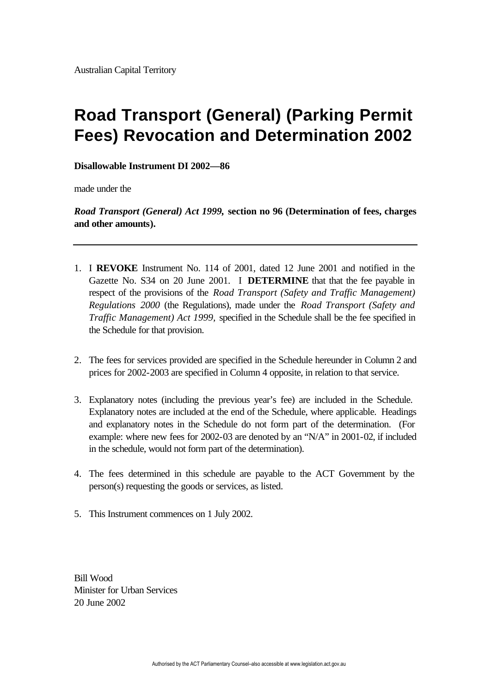# **Road Transport (General) (Parking Permit Fees) Revocation and Determination 2002**

### **Disallowable Instrument DI 2002—86**

made under the

*Road Transport (General) Act 1999,* **section no 96 (Determination of fees, charges and other amounts).** 

- 1. I **REVOKE** Instrument No. 114 of 2001, dated 12 June 2001 and notified in the Gazette No. S34 on 20 June 2001. I **DETERMINE** that that the fee payable in respect of the provisions of the *Road Transport (Safety and Traffic Management) Regulations 2000* (the Regulations), made under the *Road Transport (Safety and Traffic Management) Act 1999,* specified in the Schedule shall be the fee specified in the Schedule for that provision.
- 2. The fees for services provided are specified in the Schedule hereunder in Column 2 and prices for 2002-2003 are specified in Column 4 opposite, in relation to that service.
- 3. Explanatory notes (including the previous year's fee) are included in the Schedule. Explanatory notes are included at the end of the Schedule, where applicable. Headings and explanatory notes in the Schedule do not form part of the determination. (For example: where new fees for 2002-03 are denoted by an "N/A" in 2001-02, if included in the schedule, would not form part of the determination).
- 4. The fees determined in this schedule are payable to the ACT Government by the person(s) requesting the goods or services, as listed.
- 5. This Instrument commences on 1 July 2002.

Bill Wood Minister for Urban Services 20 June 2002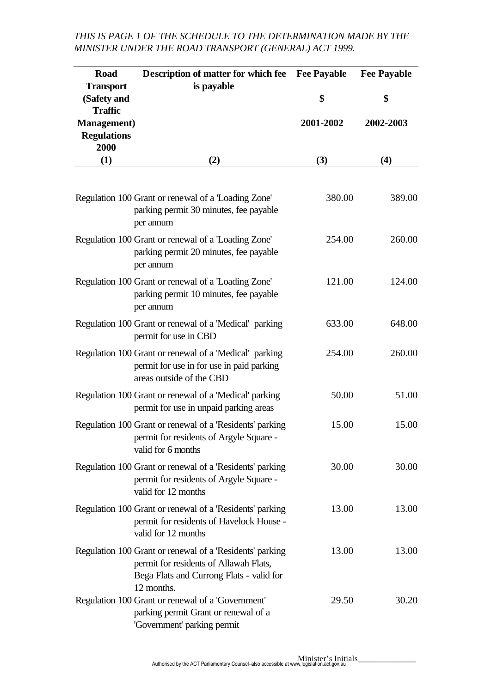#### **Road Transport (Safety and Traffic Management) Regulations 2000 (1) Description of matter for which fee Fee Payable is payable (2) \$ 2001-2002 (3) Fee Payable \$ 2002-2003 (4)** Regulation 100 Grant or renewal of a 'Loading Zone' parking permit 30 minutes, fee payable per annum 380.00 389.00 Regulation 100 Grant or renewal of a 'Loading Zone' parking permit 20 minutes, fee payable per annum 254.00 260.00 Regulation 100 Grant or renewal of a 'Loading Zone' parking permit 10 minutes, fee payable per annum 121.00 124.00 Regulation 100 Grant or renewal of a 'Medical' parking permit for use in CBD 633.00 648.00 Regulation 100 Grant or renewal of a 'Medical' parking permit for use in for use in paid parking areas outside of the CBD 254.00 260.00 Regulation 100 Grant or renewal of a 'Medical' parking permit for use in unpaid parking areas 50.00 51.00 Regulation 100 Grant or renewal of a 'Residents' parking permit for residents of Argyle Square valid for 6 months 15.00 15.00 Regulation 100 Grant or renewal of a 'Residents' parking permit for residents of Argyle Square valid for 12 months 30.00 30.00 Regulation 100 Grant or renewal of a 'Residents' parking permit for residents of Havelock House valid for 12 months 13.00 13.00 Regulation 100 Grant or renewal of a 'Residents' parking permit for residents of Allawah Flats, Bega Flats and Currong Flats - valid for 12 months. 13.00 13.00 Regulation 100 Grant or renewal of a 'Government' parking permit Grant or renewal of a 'Government' parking permit 29.50 30.20

## *THIS IS PAGE 1 OF THE SCHEDULE TO THE DETERMINATION MADE BY THE MINISTER UNDER THE ROAD TRANSPORT (GENERAL) ACT 1999.*